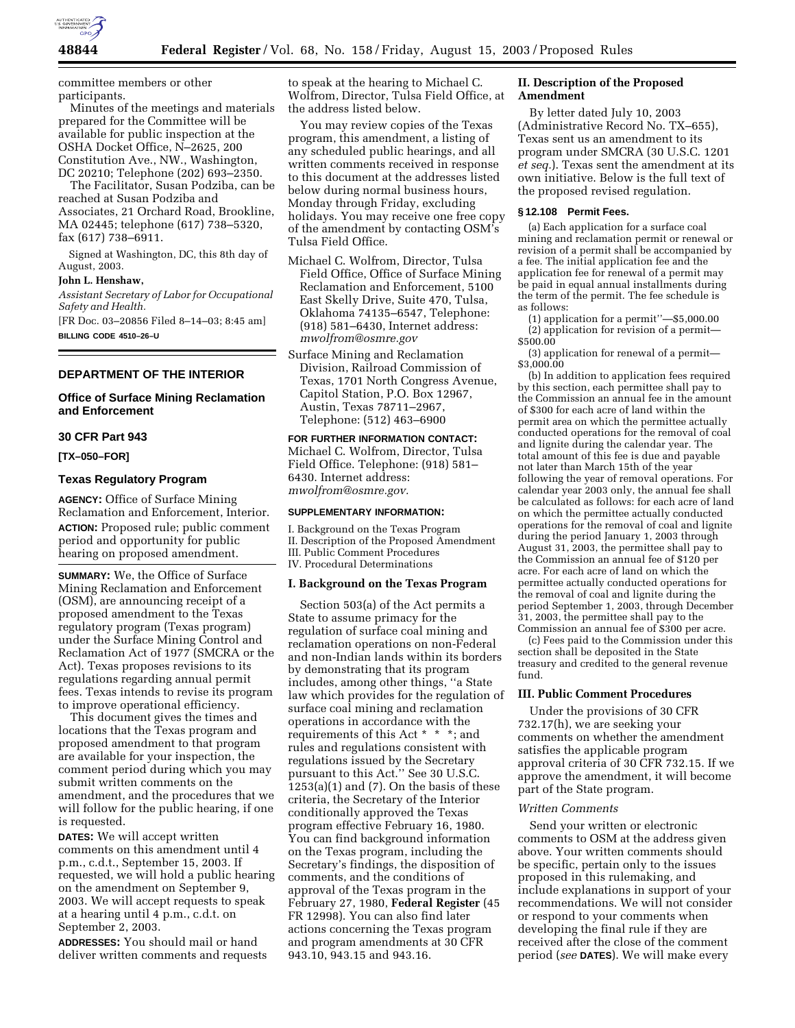

committee members or other participants.

Minutes of the meetings and materials prepared for the Committee will be available for public inspection at the OSHA Docket Office, N–2625, 200 Constitution Ave., NW., Washington, DC 20210; Telephone (202) 693–2350.

The Facilitator, Susan Podziba, can be reached at Susan Podziba and Associates, 21 Orchard Road, Brookline, MA 02445; telephone (617) 738–5320, fax (617) 738–6911.

Signed at Washington, DC, this 8th day of August, 2003.

#### **John L. Henshaw,**

*Assistant Secretary of Labor for Occupational Safety and Health.*

[FR Doc. 03–20856 Filed 8–14–03; 8:45 am] **BILLING CODE 4510–26–U**

## **DEPARTMENT OF THE INTERIOR**

## **Office of Surface Mining Reclamation and Enforcement**

#### **30 CFR Part 943**

**[TX–050–FOR]** 

### **Texas Regulatory Program**

**AGENCY:** Office of Surface Mining Reclamation and Enforcement, Interior. **ACTION:** Proposed rule; public comment period and opportunity for public hearing on proposed amendment.

**SUMMARY:** We, the Office of Surface Mining Reclamation and Enforcement (OSM), are announcing receipt of a proposed amendment to the Texas regulatory program (Texas program) under the Surface Mining Control and Reclamation Act of 1977 (SMCRA or the Act). Texas proposes revisions to its regulations regarding annual permit fees. Texas intends to revise its program to improve operational efficiency.

This document gives the times and locations that the Texas program and proposed amendment to that program are available for your inspection, the comment period during which you may submit written comments on the amendment, and the procedures that we will follow for the public hearing, if one is requested.

**DATES:** We will accept written comments on this amendment until 4 p.m., c.d.t., September 15, 2003. If requested, we will hold a public hearing on the amendment on September 9, 2003. We will accept requests to speak at a hearing until 4 p.m., c.d.t. on September 2, 2003.

**ADDRESSES:** You should mail or hand deliver written comments and requests to speak at the hearing to Michael C. Wolfrom, Director, Tulsa Field Office, at the address listed below.

You may review copies of the Texas program, this amendment, a listing of any scheduled public hearings, and all written comments received in response to this document at the addresses listed below during normal business hours, Monday through Friday, excluding holidays. You may receive one free copy of the amendment by contacting OSM's Tulsa Field Office.

Michael C. Wolfrom, Director, Tulsa Field Office, Office of Surface Mining Reclamation and Enforcement, 5100 East Skelly Drive, Suite 470, Tulsa, Oklahoma 74135–6547, Telephone: (918) 581–6430, Internet address: *mwolfrom@osmre.gov*

Surface Mining and Reclamation Division, Railroad Commission of Texas, 1701 North Congress Avenue, Capitol Station, P.O. Box 12967, Austin, Texas 78711–2967, Telephone: (512) 463–6900

**FOR FURTHER INFORMATION CONTACT:** Michael C. Wolfrom, Director, Tulsa Field Office. Telephone: (918) 581– 6430. Internet address: *mwolfrom@osmre.gov.*

#### **SUPPLEMENTARY INFORMATION:**

I. Background on the Texas Program II. Description of the Proposed Amendment III. Public Comment Procedures IV. Procedural Determinations

### **I. Background on the Texas Program**

Section 503(a) of the Act permits a State to assume primacy for the regulation of surface coal mining and reclamation operations on non-Federal and non-Indian lands within its borders by demonstrating that its program includes, among other things, ''a State law which provides for the regulation of surface coal mining and reclamation operations in accordance with the requirements of this Act \* \* \*; and rules and regulations consistent with regulations issued by the Secretary pursuant to this Act.'' See 30 U.S.C.  $1253(a)(1)$  and  $(7)$ . On the basis of these criteria, the Secretary of the Interior conditionally approved the Texas program effective February 16, 1980. You can find background information on the Texas program, including the Secretary's findings, the disposition of comments, and the conditions of approval of the Texas program in the February 27, 1980, **Federal Register** (45 FR 12998). You can also find later actions concerning the Texas program and program amendments at 30 CFR 943.10, 943.15 and 943.16.

## **II. Description of the Proposed Amendment**

By letter dated July 10, 2003 (Administrative Record No. TX–655), Texas sent us an amendment to its program under SMCRA (30 U.S.C. 1201 *et seq.*). Texas sent the amendment at its own initiative. Below is the full text of the proposed revised regulation.

#### **§ 12.108 Permit Fees.**

(a) Each application for a surface coal mining and reclamation permit or renewal or revision of a permit shall be accompanied by a fee. The initial application fee and the application fee for renewal of a permit may be paid in equal annual installments during the term of the permit. The fee schedule is as follows:

(1) application for a permit''—\$5,000.00 (2) application for revision of a permit— \$500.00

(3) application for renewal of a permit— \$3,000.00

(b) In addition to application fees required by this section, each permittee shall pay to the Commission an annual fee in the amount of \$300 for each acre of land within the permit area on which the permittee actually conducted operations for the removal of coal and lignite during the calendar year. The total amount of this fee is due and payable not later than March 15th of the year following the year of removal operations. For calendar year 2003 only, the annual fee shall be calculated as follows: for each acre of land on which the permittee actually conducted operations for the removal of coal and lignite during the period January 1, 2003 through August 31, 2003, the permittee shall pay to the Commission an annual fee of \$120 per acre. For each acre of land on which the permittee actually conducted operations for the removal of coal and lignite during the period September 1, 2003, through December 31, 2003, the permittee shall pay to the Commission an annual fee of \$300 per acre.

(c) Fees paid to the Commission under this section shall be deposited in the State treasury and credited to the general revenue fund.

### **III. Public Comment Procedures**

Under the provisions of 30 CFR 732.17(h), we are seeking your comments on whether the amendment satisfies the applicable program approval criteria of 30 CFR 732.15. If we approve the amendment, it will become part of the State program.

#### *Written Comments*

Send your written or electronic comments to OSM at the address given above. Your written comments should be specific, pertain only to the issues proposed in this rulemaking, and include explanations in support of your recommendations. We will not consider or respond to your comments when developing the final rule if they are received after the close of the comment period (*see* **DATES**). We will make every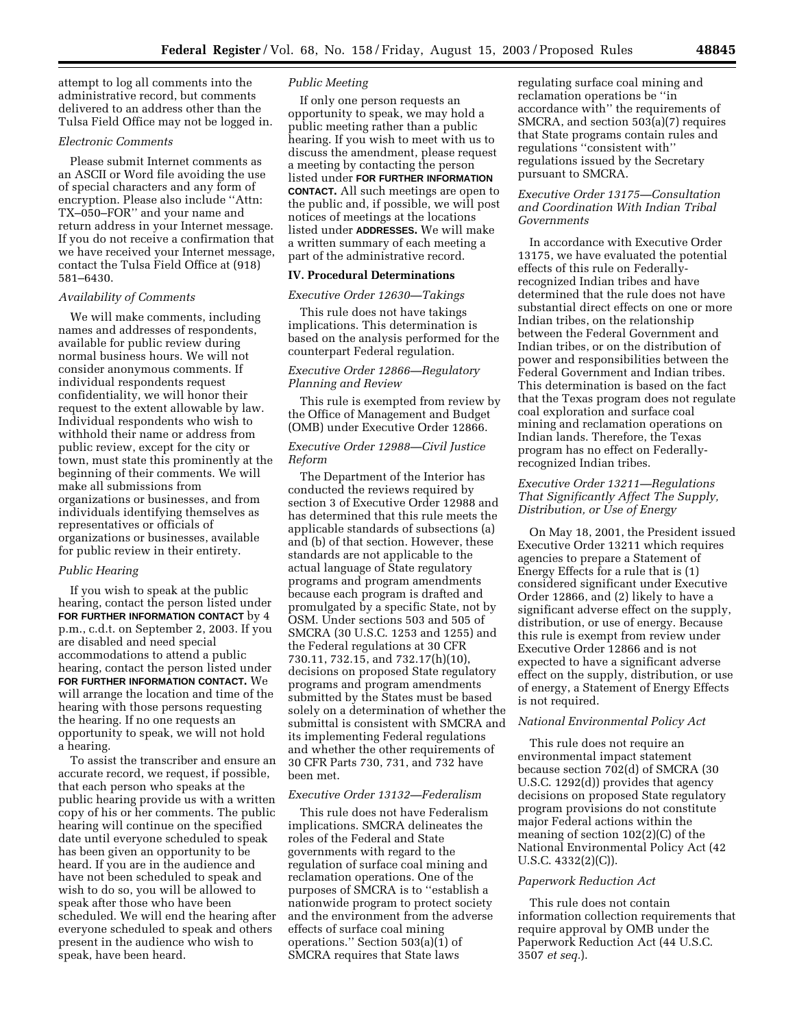attempt to log all comments into the administrative record, but comments delivered to an address other than the Tulsa Field Office may not be logged in.

#### *Electronic Comments*

Please submit Internet comments as an ASCII or Word file avoiding the use of special characters and any form of encryption. Please also include ''Attn: TX–050–FOR'' and your name and return address in your Internet message. If you do not receive a confirmation that we have received your Internet message, contact the Tulsa Field Office at (918) 581–6430.

## *Availability of Comments*

We will make comments, including names and addresses of respondents, available for public review during normal business hours. We will not consider anonymous comments. If individual respondents request confidentiality, we will honor their request to the extent allowable by law. Individual respondents who wish to withhold their name or address from public review, except for the city or town, must state this prominently at the beginning of their comments. We will make all submissions from organizations or businesses, and from individuals identifying themselves as representatives or officials of organizations or businesses, available for public review in their entirety.

### *Public Hearing*

If you wish to speak at the public hearing, contact the person listed under **FOR FURTHER INFORMATION CONTACT** by 4 p.m., c.d.t. on September 2, 2003. If you are disabled and need special accommodations to attend a public hearing, contact the person listed under **FOR FURTHER INFORMATION CONTACT.** We will arrange the location and time of the hearing with those persons requesting the hearing. If no one requests an opportunity to speak, we will not hold a hearing.

To assist the transcriber and ensure an accurate record, we request, if possible, that each person who speaks at the public hearing provide us with a written copy of his or her comments. The public hearing will continue on the specified date until everyone scheduled to speak has been given an opportunity to be heard. If you are in the audience and have not been scheduled to speak and wish to do so, you will be allowed to speak after those who have been scheduled. We will end the hearing after everyone scheduled to speak and others present in the audience who wish to speak, have been heard.

### *Public Meeting*

If only one person requests an opportunity to speak, we may hold a public meeting rather than a public hearing. If you wish to meet with us to discuss the amendment, please request a meeting by contacting the person listed under **FOR FURTHER INFORMATION CONTACT.** All such meetings are open to the public and, if possible, we will post notices of meetings at the locations listed under **ADDRESSES.** We will make a written summary of each meeting a part of the administrative record.

## **IV. Procedural Determinations**

#### *Executive Order 12630—Takings*

This rule does not have takings implications. This determination is based on the analysis performed for the counterpart Federal regulation.

## *Executive Order 12866—Regulatory Planning and Review*

This rule is exempted from review by the Office of Management and Budget (OMB) under Executive Order 12866.

## *Executive Order 12988—Civil Justice Reform*

The Department of the Interior has conducted the reviews required by section 3 of Executive Order 12988 and has determined that this rule meets the applicable standards of subsections (a) and (b) of that section. However, these standards are not applicable to the actual language of State regulatory programs and program amendments because each program is drafted and promulgated by a specific State, not by OSM. Under sections 503 and 505 of SMCRA (30 U.S.C. 1253 and 1255) and the Federal regulations at 30 CFR 730.11, 732.15, and 732.17(h)(10), decisions on proposed State regulatory programs and program amendments submitted by the States must be based solely on a determination of whether the submittal is consistent with SMCRA and its implementing Federal regulations and whether the other requirements of 30 CFR Parts 730, 731, and 732 have been met.

#### *Executive Order 13132—Federalism*

This rule does not have Federalism implications. SMCRA delineates the roles of the Federal and State governments with regard to the regulation of surface coal mining and reclamation operations. One of the purposes of SMCRA is to ''establish a nationwide program to protect society and the environment from the adverse effects of surface coal mining operations.'' Section 503(a)(1) of SMCRA requires that State laws

regulating surface coal mining and reclamation operations be ''in accordance with'' the requirements of SMCRA, and section 503(a)(7) requires that State programs contain rules and regulations ''consistent with'' regulations issued by the Secretary pursuant to SMCRA.

## *Executive Order 13175—Consultation and Coordination With Indian Tribal Governments*

In accordance with Executive Order 13175, we have evaluated the potential effects of this rule on Federallyrecognized Indian tribes and have determined that the rule does not have substantial direct effects on one or more Indian tribes, on the relationship between the Federal Government and Indian tribes, or on the distribution of power and responsibilities between the Federal Government and Indian tribes. This determination is based on the fact that the Texas program does not regulate coal exploration and surface coal mining and reclamation operations on Indian lands. Therefore, the Texas program has no effect on Federallyrecognized Indian tribes.

## *Executive Order 13211—Regulations That Significantly Affect The Supply, Distribution, or Use of Energy*

On May 18, 2001, the President issued Executive Order 13211 which requires agencies to prepare a Statement of Energy Effects for a rule that is (1) considered significant under Executive Order 12866, and (2) likely to have a significant adverse effect on the supply, distribution, or use of energy. Because this rule is exempt from review under Executive Order 12866 and is not expected to have a significant adverse effect on the supply, distribution, or use of energy, a Statement of Energy Effects is not required.

## *National Environmental Policy Act*

This rule does not require an environmental impact statement because section 702(d) of SMCRA (30 U.S.C. 1292(d)) provides that agency decisions on proposed State regulatory program provisions do not constitute major Federal actions within the meaning of section 102(2)(C) of the National Environmental Policy Act (42 U.S.C.  $4332(2)(C)$ ).

#### *Paperwork Reduction Act*

This rule does not contain information collection requirements that require approval by OMB under the Paperwork Reduction Act (44 U.S.C. 3507 *et seq.*).